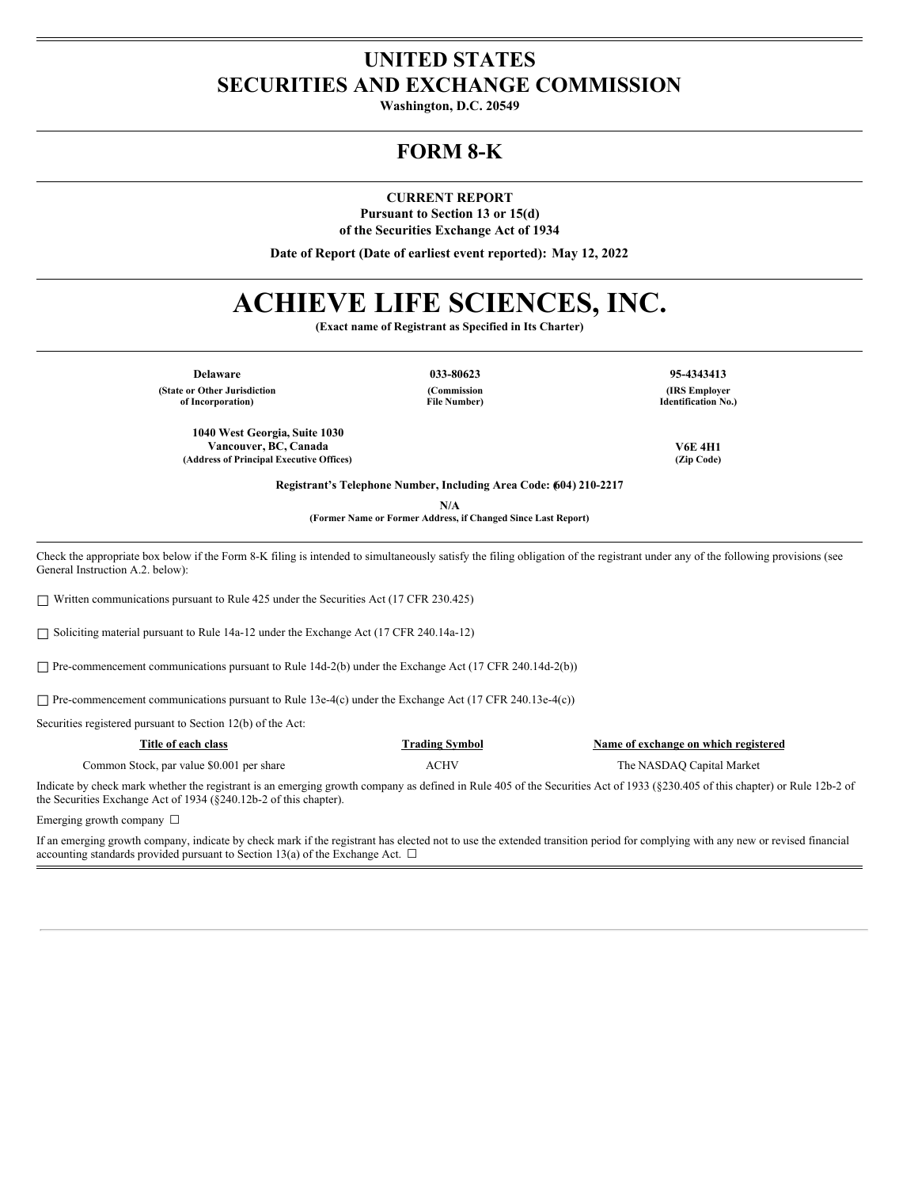## **UNITED STATES SECURITIES AND EXCHANGE COMMISSION**

**Washington, D.C. 20549**

## **FORM 8-K**

**CURRENT REPORT**

**Pursuant to Section 13 or 15(d) of the Securities Exchange Act of 1934**

**Date of Report (Date of earliest event reported): May 12, 2022**

# **ACHIEVE LIFE SCIENCES, INC.**

**(Exact name of Registrant as Specified in Its Charter)**

**Delaware 033-80623 95-4343413 (State or Other Jurisdiction of Incorporation)**

**(Commission File Number)**

**(IRS Employer Identification No.)**

**Vancouver, BC, Canada V6E 4H1**

**Registrant's Telephone Number, Including Area Code: (604) 210-2217**

**N/A**

**(Former Name or Former Address, if Changed Since Last Report)**

Check the appropriate box below if the Form 8-K filing is intended to simultaneously satisfy the filing obligation of the registrant under any of the following provisions (see General Instruction A.2. below):

☐ Written communications pursuant to Rule 425 under the Securities Act (17 CFR 230.425)

**1040 West Georgia, Suite 1030**

**(Address of Principal Executive Offices) (Zip Code)**

☐ Soliciting material pursuant to Rule 14a-12 under the Exchange Act (17 CFR 240.14a-12)

□ Pre-commencement communications pursuant to Rule 14d-2(b) under the Exchange Act (17 CFR 240.14d-2(b))

☐ Pre-commencement communications pursuant to Rule 13e-4(c) under the Exchange Act (17 CFR 240.13e-4(c))

Securities registered pursuant to Section 12(b) of the Act:

| Title of each class                       | Trading Symbol | Name of exchange on which registered |
|-------------------------------------------|----------------|--------------------------------------|
| Common Stock, par value \$0.001 per share | ACHV           | The NASDAO Capital Market            |

Indicate by check mark whether the registrant is an emerging growth company as defined in Rule 405 of the Securities Act of 1933 (§230.405 of this chapter) or Rule 12b-2 of the Securities Exchange Act of 1934 (§240.12b-2 of this chapter).

Emerging growth company  $\Box$ 

If an emerging growth company, indicate by check mark if the registrant has elected not to use the extended transition period for complying with any new or revised financial accounting standards provided pursuant to Section 13(a) of the Exchange Act.  $\Box$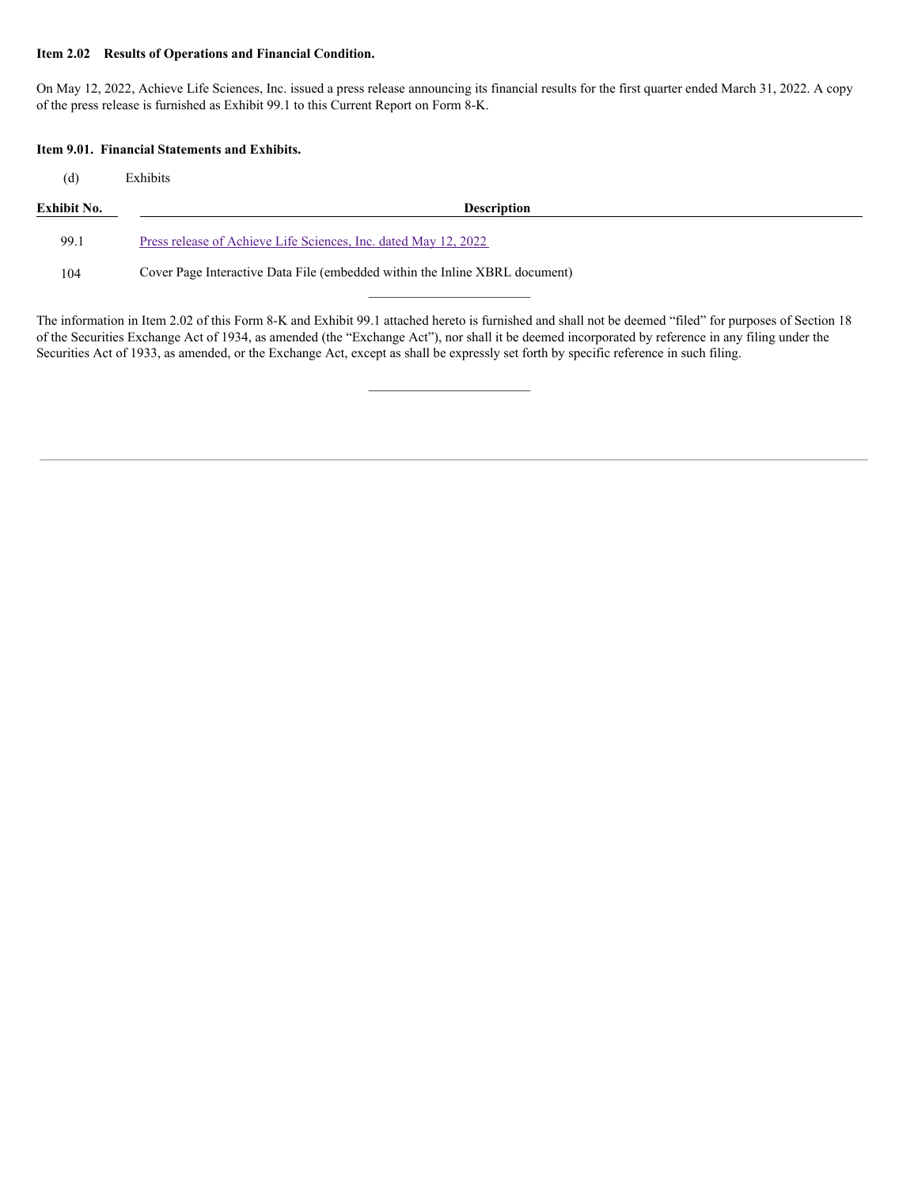#### **Item 2.02 Results of Operations and Financial Condition.**

On May 12, 2022, Achieve Life Sciences, Inc. issued a press release announcing its financial results for the first quarter ended March 31, 2022. A copy of the press release is furnished as Exhibit 99.1 to this Current Report on Form 8-K.

#### **Item 9.01. Financial Statements and Exhibits.**

(d) Exhibits

| Exhibit No. | <b>Description</b>                                              |  |
|-------------|-----------------------------------------------------------------|--|
| 99.1        | Press release of Achieve Life Sciences. Inc. dated May 12, 2022 |  |

104 Cover Page Interactive Data File (embedded within the Inline XBRL document)

The information in Item 2.02 of this Form 8-K and Exhibit 99.1 attached hereto is furnished and shall not be deemed "filed" for purposes of Section 18 of the Securities Exchange Act of 1934, as amended (the "Exchange Act"), nor shall it be deemed incorporated by reference in any filing under the Securities Act of 1933, as amended, or the Exchange Act, except as shall be expressly set forth by specific reference in such filing.

 $\mathcal{L}=\mathcal{L}^{\mathcal{L}}$  , where  $\mathcal{L}^{\mathcal{L}}$  , we have the set of the set of the set of the set of the set of the set of the set of the set of the set of the set of the set of the set of the set of the set of the set of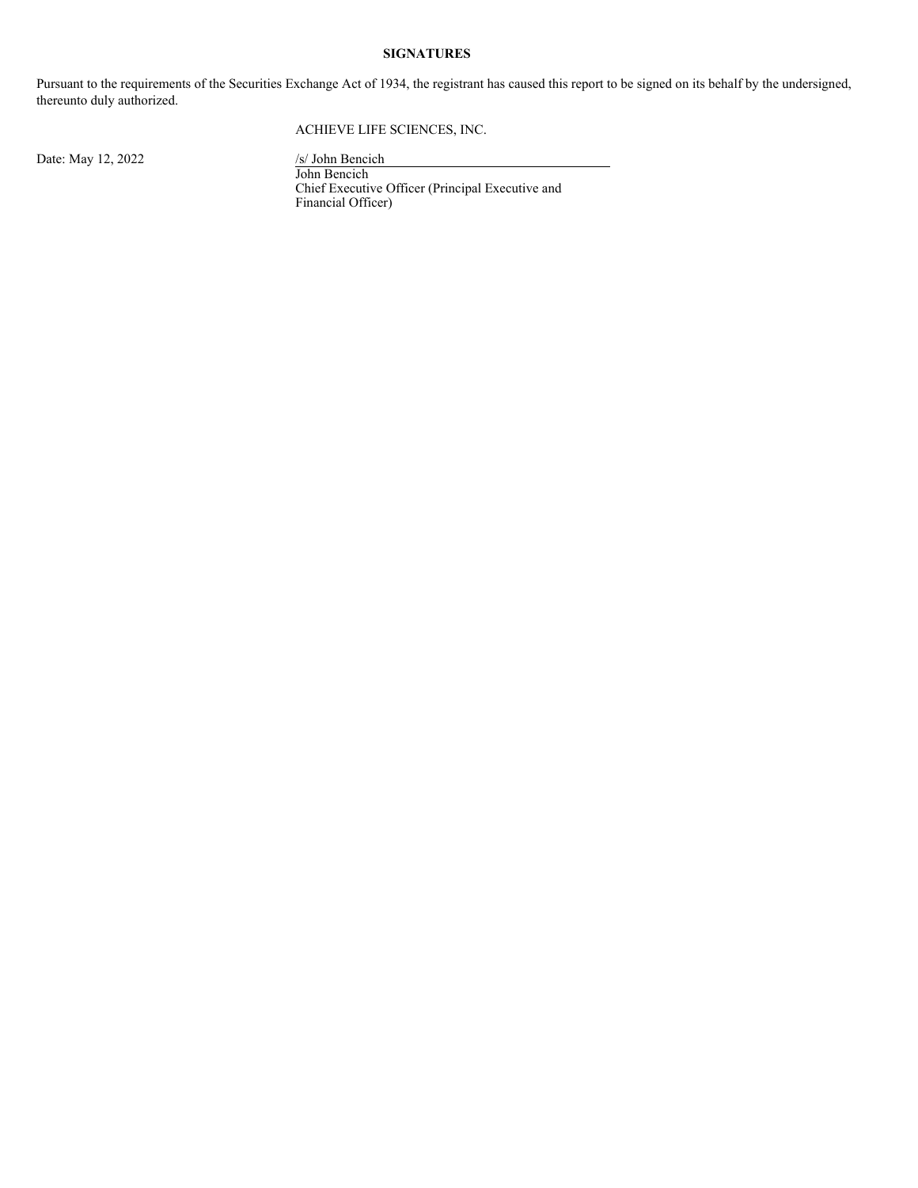#### **SIGNATURES**

Pursuant to the requirements of the Securities Exchange Act of 1934, the registrant has caused this report to be signed on its behalf by the undersigned, thereunto duly authorized.

#### ACHIEVE LIFE SCIENCES, INC.

Date: May 12, 2022 /s/ John Bencich

John Bencich Chief Executive Officer (Principal Executive and Financial Officer)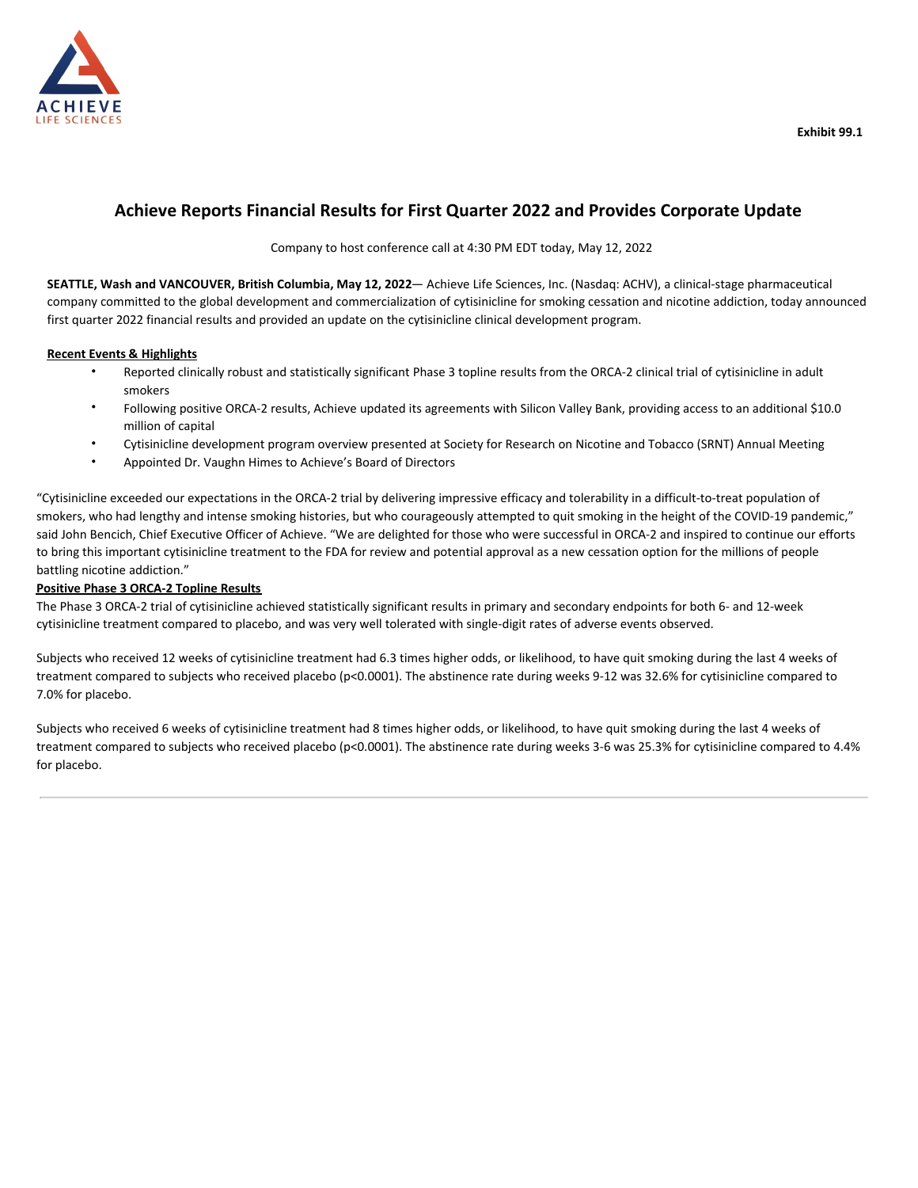

### **Achieve Reports Financial Results for First Quarter 2022 and Provides Corporate Update**

Company to host conference call at 4:30 PM EDT today, May 12, 2022

**SEATTLE, Wash and VANCOUVER, British Columbia, May 12, 2022**— Achieve Life Sciences, Inc. (Nasdaq: ACHV), a clinical-stage pharmaceutical company committed to the global development and commercialization of cytisinicline for smoking cessation and nicotine addiction, today announced first quarter 2022 financial results and provided an update on the cytisinicline clinical development program.

#### **Recent Events & Highlights**

- Reported clinically robust and statistically significant Phase 3 topline results from the ORCA-2 clinical trial of cytisinicline in adult smokers
- Following positive ORCA-2 results, Achieve updated its agreements with Silicon Valley Bank, providing access to an additional \$10.0 million of capital
- Cytisinicline development program overview presented at Society for Research on Nicotine and Tobacco (SRNT) Annual Meeting
- Appointed Dr. Vaughn Himes to Achieve's Board of Directors

"Cytisinicline exceeded our expectations in the ORCA-2 trial by delivering impressive efficacy and tolerability in a difficult-to-treat population of smokers, who had lengthy and intense smoking histories, but who courageously attempted to quit smoking in the height of the COVID-19 pandemic," said John Bencich, Chief Executive Officer of Achieve. "We are delighted for those who were successful in ORCA-2 and inspired to continue our efforts to bring this important cytisinicline treatment to the FDA for review and potential approval as a new cessation option for the millions of people battling nicotine addiction."

#### **Positive Phase 3 ORCA-2 Topline Results**

The Phase 3 ORCA-2 trial of cytisinicline achieved statistically significant results in primary and secondary endpoints for both 6- and 12-week cytisinicline treatment compared to placebo, and was very well tolerated with single-digit rates of adverse events observed.

Subjects who received 12 weeks of cytisinicline treatment had 6.3 times higher odds, or likelihood, to have quit smoking during the last 4 weeks of treatment compared to subjects who received placebo (p<0.0001). The abstinence rate during weeks 9-12 was 32.6% for cytisinicline compared to 7.0% for placebo.

Subjects who received 6 weeks of cytisinicline treatment had 8 times higher odds, or likelihood, to have quit smoking during the last 4 weeks of treatment compared to subjects who received placebo (p<0.0001). The abstinence rate during weeks 3-6 was 25.3% for cytisinicline compared to 4.4% for placebo.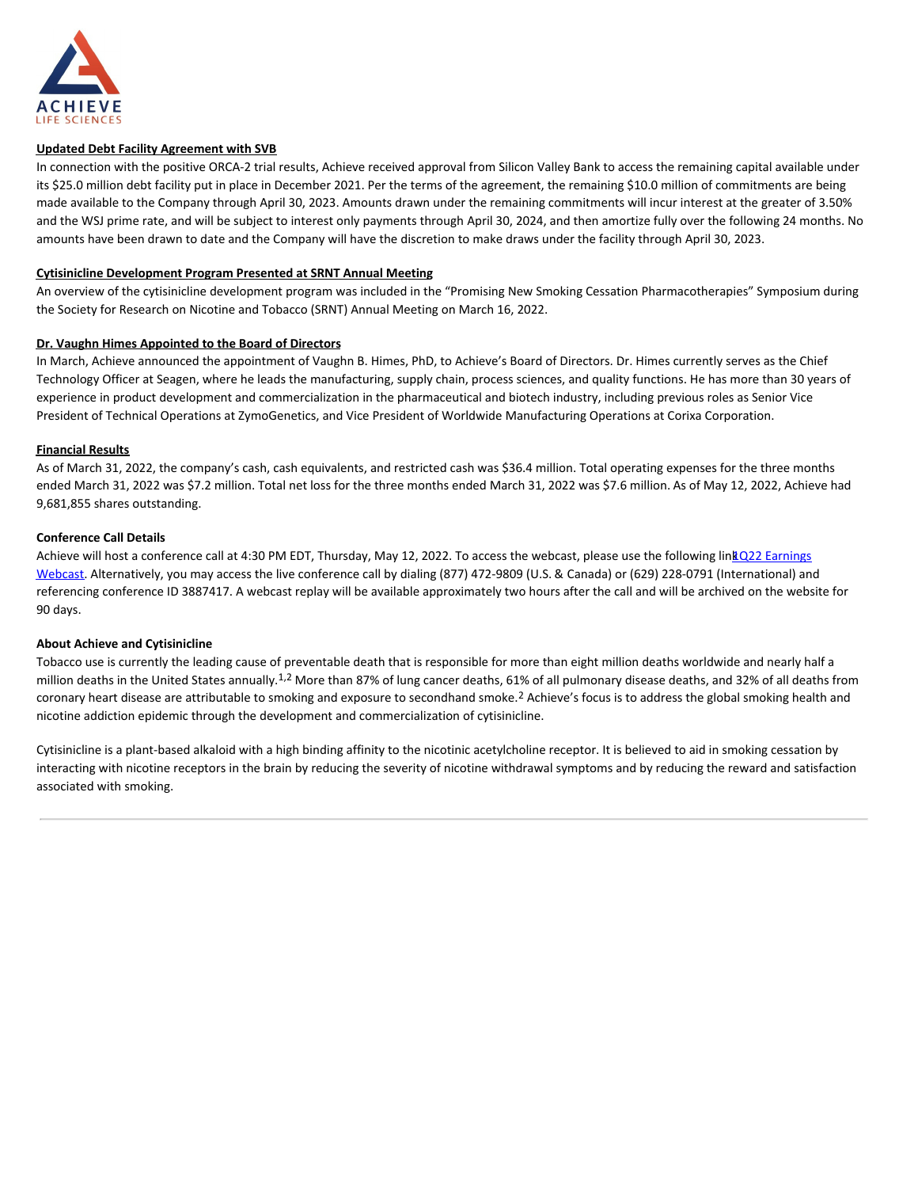<span id="page-4-0"></span>

#### **Updated Debt Facility Agreement with SVB**

In connection with the positive ORCA-2 trial results, Achieve received approval from Silicon Valley Bank to access the remaining capital available under its \$25.0 million debt facility put in place in December 2021. Per the terms of the agreement, the remaining \$10.0 million of commitments are being made available to the Company through April 30, 2023. Amounts drawn under the remaining commitments will incur interest at the greater of 3.50% and the WSJ prime rate, and will be subject to interest only payments through April 30, 2024, and then amortize fully over the following 24 months. No amounts have been drawn to date and the Company will have the discretion to make draws under the facility through April 30, 2023.

#### **Cytisinicline Development Program Presented at SRNT Annual Meeting**

An overview of the cytisinicline development program was included in the "Promising New Smoking Cessation Pharmacotherapies" Symposium during the Society for Research on Nicotine and Tobacco (SRNT) Annual Meeting on March 16, 2022.

#### **Dr. Vaughn Himes Appointed to the Board of Directors**

In March, Achieve announced the appointment of Vaughn B. Himes, PhD, to Achieve's Board of Directors. Dr. Himes currently serves as the Chief Technology Officer at Seagen, where he leads the manufacturing, supply chain, process sciences, and quality functions. He has more than 30 years of experience in product development and commercialization in the pharmaceutical and biotech industry, including previous roles as Senior Vice President of Technical Operations at ZymoGenetics, and Vice President of Worldwide Manufacturing Operations at Corixa Corporation.

#### **Financial Results**

As of March 31, 2022, the company's cash, cash equivalents, and restricted cash was \$36.4 million. Total operating expenses for the three months ended March 31, 2022 was \$7.2 million. Total net loss for the three months ended March 31, 2022 was \$7.6 million. As of May 12, 2022, Achieve had 9,681,855 shares outstanding.

#### **Conference Call Details**

Achieve will host a conference call at 4:30 PM EDT, Thursday, May 12, 2022. To access the webcast, please use the following lin**k** Q22 Earnings Webcast. Alternatively, you may access the live conference call by dialing (877) 472-9809 (U.S. & Canada) or (629) 228-0791 (International) and referencing conference ID 3887417. A webcast replay will be available approximately two hours after the call and will be archived on the website for 90 days.

#### **About Achieve and Cytisinicline**

Tobacco use is currently the leading cause of preventable death that is responsible for more than eight million deaths worldwide and nearly half a million deaths in the United States annually.<sup>1,2</sup> More than 87% of lung cancer deaths, 61% of all pulmonary disease deaths, and 32% of all deaths from coronary heart disease are attributable to smoking and exposure to secondhand smoke.<sup>2</sup> Achieve's focus is to address the global smoking health and nicotine addiction epidemic through the development and commercialization of cytisinicline.

Cytisinicline is a plant-based alkaloid with a high binding affinity to the nicotinic acetylcholine receptor. It is believed to aid in smoking cessation by interacting with nicotine receptors in the brain by reducing the severity of nicotine withdrawal symptoms and by reducing the reward and satisfaction associated with smoking.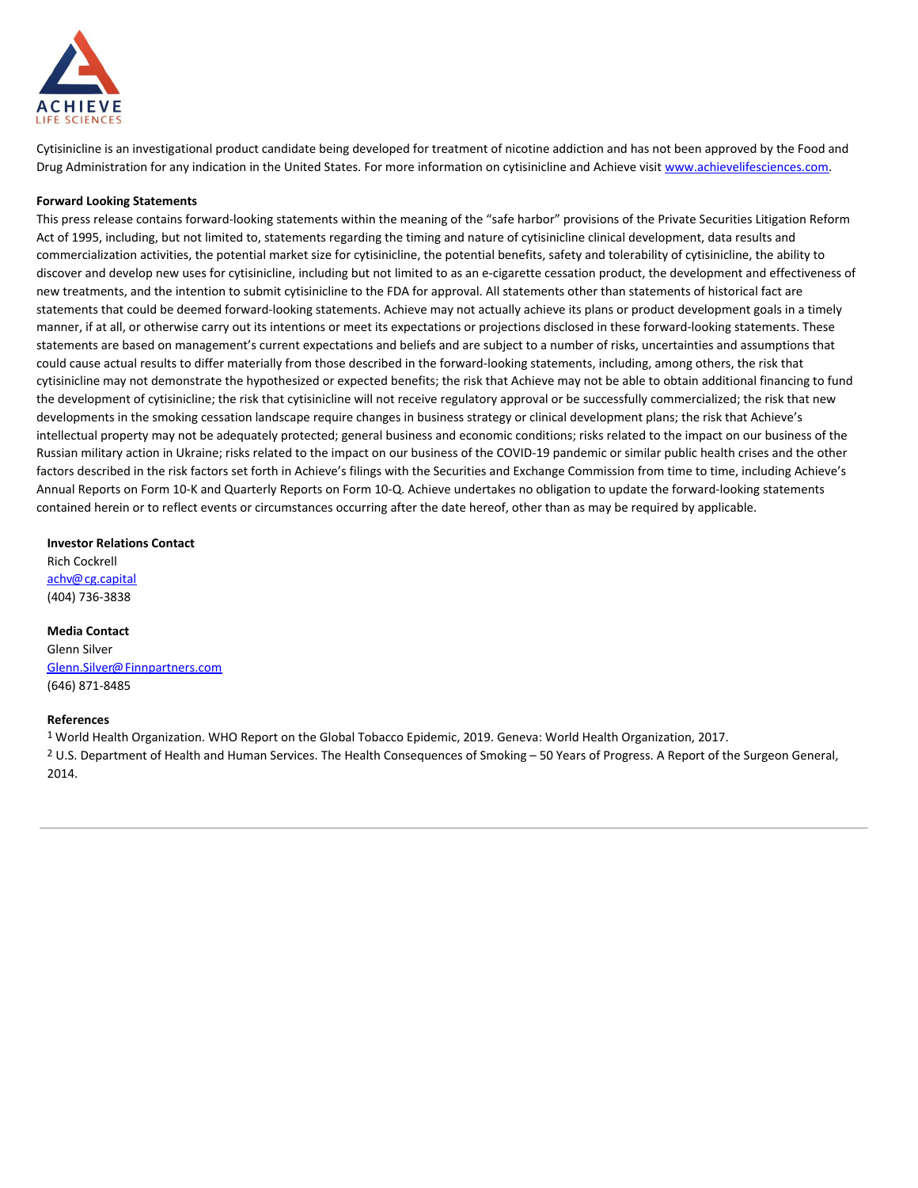

Cytisinicline is an investigational product candidate being developed for treatment of nicotine addiction and has not been approved by the Food and Drug Administration for any indication in the United States. For more information on cytisinicline and Achieve visit www.achievelifesciences.com.

#### **Forward Looking Statements**

This press release contains forward-looking statements within the meaning of the "safe harbor" provisions of the Private Securities Litigation Reform Act of 1995, including, but not limited to, statements regarding the timing and nature of cytisinicline clinical development, data results and commercialization activities, the potential market size for cytisinicline, the potential benefits, safety and tolerability of cytisinicline, the ability to discover and develop new uses for cytisinicline, including but not limited to as an e-cigarette cessation product, the development and effectiveness of new treatments, and the intention to submit cytisinicline to the FDA for approval. All statements other than statements of historical fact are statements that could be deemed forward-looking statements. Achieve may not actually achieve its plans or product development goals in a timely manner, if at all, or otherwise carry out its intentions or meet its expectations or projections disclosed in these forward-looking statements. These statements are based on management's current expectations and beliefs and are subject to a number of risks, uncertainties and assumptions that could cause actual results to differ materially from those described in the forward-looking statements, including, among others, the risk that cytisinicline may not demonstrate the hypothesized or expected benefits; the risk that Achieve may not be able to obtain additional financing to fund the development of cytisinicline; the risk that cytisinicline will not receive regulatory approval or be successfully commercialized; the risk that new developments in the smoking cessation landscape require changes in business strategy or clinical development plans; the risk that Achieve's intellectual property may not be adequately protected; general business and economic conditions; risks related to the impact on our business of the Russian military action in Ukraine; risks related to the impact on our business of the COVID-19 pandemic or similar public health crises and the other factors described in the risk factors set forth in Achieve's filings with the Securities and Exchange Commission from time to time, including Achieve's Annual Reports on Form 10-K and Quarterly Reports on Form 10-Q. Achieve undertakes no obligation to update the forward-looking statements contained herein or to reflect events or circumstances occurring after the date hereof, other than as may be required by applicable.

#### **Investor Relations Contact**

Rich Cockrell achv@cg.capital (404) 736-3838

#### **Media Contact**

Glenn Silver Glenn.Silver@Finnpartners.com (646) 871-8485

#### **References**

1 World Health Organization. WHO Report on the Global Tobacco Epidemic, 2019. Geneva: World Health Organization, 2017.

2 U.S. Department of Health and Human Services. The Health Consequences of Smoking – 50 Years of Progress. A Report of the Surgeon General, 2014.